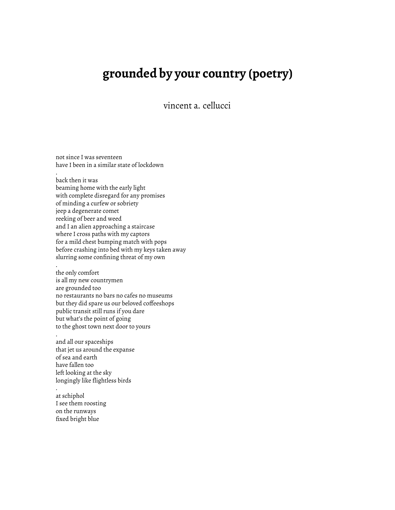## **grounded by your country (poetry)**

vincent a. cellucci

not since I was seventeen have I been in a similar state of lockdown

. back then it was beaming home with the early light with complete disregard for any promises of minding a curfew or sobriety jeep a degenerate comet reeking of beer and weed and I an alien approaching a staircase where I cross paths with my captors for a mild chest bumping match with pops before crashing into bed with my keys taken away slurring some confining threat of my own

the only comfort is all my new countrymen are grounded too no restaurants no bars no cafes no museums but they did spare us our beloved coffeeshops public transit still runs if you dare but what's the point of going to the ghost town next door to yours

. and all our spaceships that jet us around the expanse of sea and earth have fallen too left looking at the sky longingly like flightless birds

at schiphol I see them roosting on the runways fixed bright blue

.

.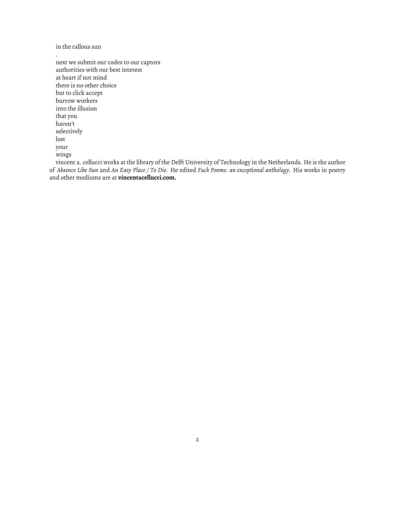in the callous sun

.

next we submit our codes to our captors authorities with our best interest at heart if not mind there is no other choice but to click accept burrow workers into the illusion that you haven't selectively lost your wings

vincent a. cellucci works at the library of the Delft University of Technology in the Netherlands. He is the author of *Absence Like Sun* and *An Easy Place / To Die*. He edited *Fuck Poems: an exceptional anthology*. His works in poetry and other mediums are at **vincentacellucci.com.**